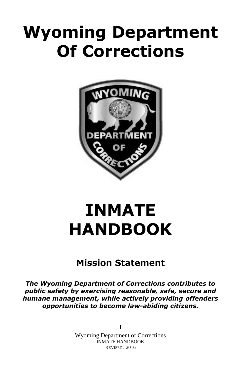# **Wyoming Department Of Corrections**



# **INMATE HANDBOOK**

# **Mission Statement**

*The Wyoming Department of Corrections contributes to public safety by exercising reasonable, safe, secure and humane management, while actively providing offenders opportunities to become law-abiding citizens.*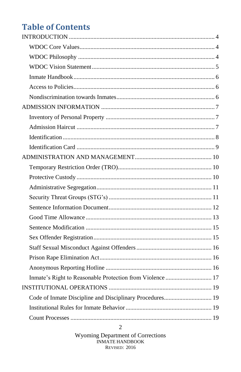# **Table of Contents**

| Inmate's Right to Reasonable Protection from Violence  17 |  |
|-----------------------------------------------------------|--|
|                                                           |  |
| Code of Inmate Discipline and Disciplinary Procedures 19  |  |
|                                                           |  |
|                                                           |  |

Wyoming Department of Corrections<br>INMATE HANDBOOK REVISED: 2016

 $\overline{2}$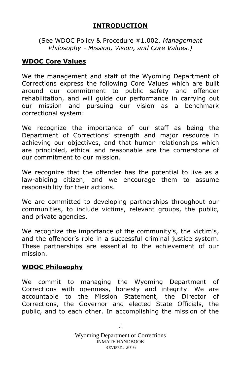#### **INTRODUCTION**

<span id="page-3-0"></span>(See WDOC Policy & Procedure #1.002, *Management Philosophy - Mission, Vision, and Core Values.)*

#### <span id="page-3-1"></span>**WDOC Core Values**

We the management and staff of the Wyoming Department of Corrections express the following Core Values which are built around our commitment to public safety and offender rehabilitation, and will guide our performance in carrying out our mission and pursuing our vision as a benchmark correctional system:

We recognize the importance of our staff as being the Department of Corrections' strength and major resource in achieving our objectives, and that human relationships which are principled, ethical and reasonable are the cornerstone of our commitment to our mission.

We recognize that the offender has the potential to live as a law-abiding citizen, and we encourage them to assume responsibility for their actions.

We are committed to developing partnerships throughout our communities, to include victims, relevant groups, the public, and private agencies.

We recognize the importance of the community's, the victim's, and the offender's role in a successful criminal justice system. These partnerships are essential to the achievement of our mission.

#### <span id="page-3-2"></span>**WDOC Philosophy**

We commit to managing the Wyoming Department of Corrections with openness, honesty and integrity. We are accountable to the Mission Statement, the Director of Corrections, the Governor and elected State Officials, the public, and to each other. In accomplishing the mission of the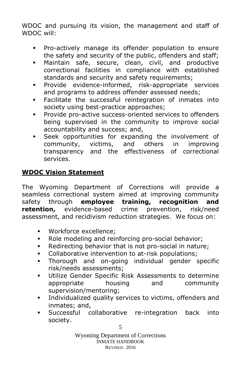WDOC and pursuing its vision, the management and staff of WDOC will:

- Pro-actively manage its offender population to ensure the safety and security of the public, offenders and staff;
- Maintain safe, secure, clean, civil, and productive correctional facilities in compliance with established standards and security and safety requirements;
- Provide evidence-informed, risk-appropriate services and programs to address offender assessed needs;
- Facilitate the successful reintegration of inmates into society using best-practice approaches;
- **Provide pro-active success-oriented services to offenders** being supervised in the community to improve social accountability and success; and,
- Seek opportunities for expanding the involvement of community, victims, and others in improving transparency and the effectiveness of correctional services.

# <span id="page-4-0"></span>**WDOC Vision Statement**

The Wyoming Department of Corrections will provide a seamless correctional system aimed at improving community safety through **employee training, recognition and retention,** evidence-based crime prevention, risk/need assessment, and recidivism reduction strategies. We focus on:

- Workforce excellence;
- Role modeling and reinforcing pro-social behavior;
- Redirecting behavior that is not pro-social in nature;
- **Collaborative intervention to at-risk populations:**
- Thorough and on-going individual gender specific risk/needs assessments;
- Utilize Gender Specific Risk Assessments to determine appropriate housing and community supervision/mentoring;
- Individualized quality services to victims, offenders and inmates; and,
- Successful collaborative re-integration back into society.

5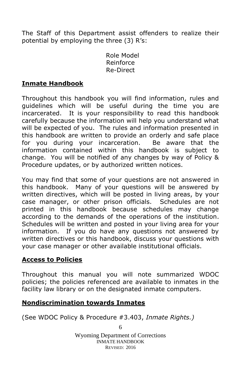The Staff of this Department assist offenders to realize their potential by employing the three (3) R's:

> Role Model Reinforce Re-Direct

### <span id="page-5-0"></span>**Inmate Handbook**

Throughout this handbook you will find information, rules and guidelines which will be useful during the time you are incarcerated. It is your responsibility to read this handbook carefully because the information will help you understand what will be expected of you. The rules and information presented in this handbook are written to provide an orderly and safe place for you during your incarceration. Be aware that the information contained within this handbook is subject to change. You will be notified of any changes by way of Policy & Procedure updates, or by authorized written notices.

You may find that some of your questions are not answered in this handbook. Many of your questions will be answered by written directives, which will be posted in living areas, by your case manager, or other prison officials. Schedules are not printed in this handbook because schedules may change according to the demands of the operations of the institution. Schedules will be written and posted in your living area for your information. If you do have any questions not answered by written directives or this handbook, discuss your questions with your case manager or other available institutional officials.

#### <span id="page-5-1"></span>**Access to Policies**

Throughout this manual you will note summarized WDOC policies; the policies referenced are available to inmates in the facility law library or on the designated inmate computers.

#### <span id="page-5-2"></span>**Nondiscrimination towards Inmates**

(See WDOC Policy & Procedure #3.403, *Inmate Rights.)*

Wyoming Department of Corrections INMATE HANDBOOK REVISED: 2016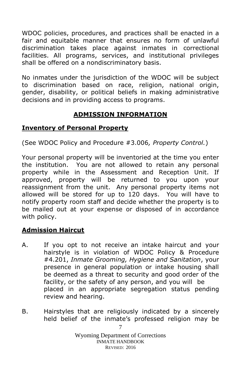WDOC policies, procedures, and practices shall be enacted in a fair and equitable manner that ensures no form of unlawful discrimination takes place against inmates in correctional facilities. All programs, services, and institutional privileges shall be offered on a nondiscriminatory basis.

No inmates under the jurisdiction of the WDOC will be subject to discrimination based on race, religion, national origin, gender, disability, or political beliefs in making administrative decisions and in providing access to programs.

# **ADMISSION INFORMATION**

### <span id="page-6-1"></span><span id="page-6-0"></span>**Inventory of Personal Property**

(See WDOC Policy and Procedure #3.006*, Property Control.*)

Your personal property will be inventoried at the time you enter the institution. You are not allowed to retain any personal property while in the Assessment and Reception Unit. If approved, property will be returned to you upon your reassignment from the unit. Any personal property items not allowed will be stored for up to 120 days. You will have to notify property room staff and decide whether the property is to be mailed out at your expense or disposed of in accordance with policy.

# <span id="page-6-2"></span>**Admission Haircut**

- A. If you opt to not receive an intake haircut and your hairstyle is in violation of WDOC Policy & Procedure #4.201, *Inmate Grooming, Hygiene and Sanitation*, your presence in general population or intake housing shall be deemed as a threat to security and good order of the facility, or the safety of any person, and you will be placed in an appropriate segregation status pending review and hearing.
- B. Hairstyles that are religiously indicated by a sincerely held belief of the inmate's professed religion may be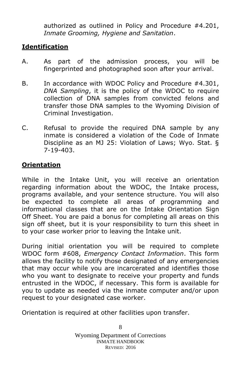authorized as outlined in Policy and Procedure #4.201, *Inmate Grooming, Hygiene and Sanitation*.

# <span id="page-7-0"></span>**Identification**

- A. As part of the admission process, you will be fingerprinted and photographed soon after your arrival.
- B. In accordance with WDOC Policy and Procedure #4.301, *DNA Sampling*, it is the policy of the WDOC to require collection of DNA samples from convicted felons and transfer those DNA samples to the Wyoming Division of Criminal Investigation.
- C. Refusal to provide the required DNA sample by any inmate is considered a violation of the Code of Inmate Discipline as an MJ 25: Violation of Laws; Wyo. Stat. § 7-19-403.

# **Orientation**

While in the Intake Unit, you will receive an orientation regarding information about the WDOC, the Intake process, programs available, and your sentence structure. You will also be expected to complete all areas of programming and informational classes that are on the Intake Orientation Sign Off Sheet. You are paid a bonus for completing all areas on this sign off sheet, but it is your responsibility to turn this sheet in to your case worker prior to leaving the Intake unit.

During initial orientation you will be required to complete WDOC form #608, *Emergency Contact Information*. This form allows the facility to notify those designated of any emergencies that may occur while you are incarcerated and identifies those who you want to designate to receive your property and funds entrusted in the WDOC, if necessary. This form is available for you to update as needed via the inmate computer and/or upon request to your designated case worker.

Orientation is required at other facilities upon transfer.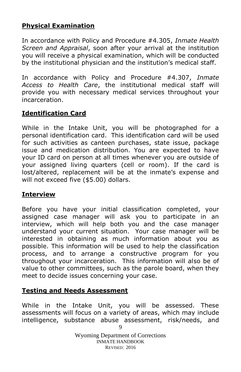# **Physical Examination**

In accordance with Policy and Procedure #4.305, *Inmate Health Screen and Appraisal*, soon after your arrival at the institution you will receive a physical examination, which will be conducted by the institutional physician and the institution's medical staff.

In accordance with Policy and Procedure #4.307, *Inmate Access to Health Care*, the institutional medical staff will provide you with necessary medical services throughout your incarceration.

### <span id="page-8-0"></span>**Identification Card**

While in the Intake Unit, you will be photographed for a personal identification card. This identification card will be used for such activities as canteen purchases, state issue, package issue and medication distribution. You are expected to have your ID card on person at all times whenever you are outside of your assigned living quarters (cell or room). If the card is lost/altered, replacement will be at the inmate's expense and will not exceed five (\$5.00) dollars.

#### **Interview**

Before you have your initial classification completed, your assigned case manager will ask you to participate in an interview, which will help both you and the case manager understand your current situation. Your case manager will be interested in obtaining as much information about you as possible. This information will be used to help the classification process, and to arrange a constructive program for you throughout your incarceration. This information will also be of value to other committees, such as the parole board, when they meet to decide issues concerning your case.

#### **Testing and Needs Assessment**

9 While in the Intake Unit, you will be assessed. These assessments will focus on a variety of areas, which may include intelligence, substance abuse assessment, risk/needs, and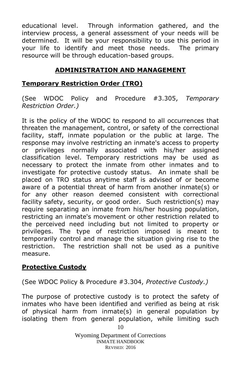educational level. Through information gathered, and the interview process, a general assessment of your needs will be determined. It will be your responsibility to use this period in your life to identify and meet those needs. The primary resource will be through education-based groups.

# **ADMINISTRATION AND MANAGEMENT**

#### <span id="page-9-1"></span><span id="page-9-0"></span>**Temporary Restriction Order (TRO)**

(See WDOC Policy and Procedure #3.305, *Temporary Restriction Order.)*

It is the policy of the WDOC to respond to all occurrences that threaten the management, control, or safety of the correctional facility, staff, inmate population or the public at large. The response may involve restricting an inmate's access to property or privileges normally associated with his/her assigned classification level. Temporary restrictions may be used as necessary to protect the inmate from other inmates and to investigate for protective custody status. An inmate shall be placed on TRO status anytime staff is advised of or become aware of a potential threat of harm from another inmate(s) or for any other reason deemed consistent with correctional facility safety, security, or good order. Such restriction(s) may require separating an inmate from his/her housing population, restricting an inmate's movement or other restriction related to the perceived need including but not limited to property or privileges. The type of restriction imposed is meant to temporarily control and manage the situation giving rise to the restriction. The restriction shall not be used as a punitive measure.

#### <span id="page-9-2"></span>**Protective Custody**

(See WDOC Policy & Procedure #3.304, *Protective Custody.)*

The purpose of protective custody is to protect the safety of inmates who have been identified and verified as being at risk of physical harm from inmate(s) in general population by isolating them from general population, while limiting such

> Wyoming Department of Corrections INMATE HANDBOOK REVISED: 2016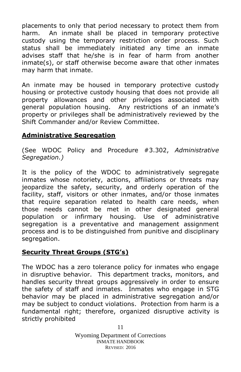placements to only that period necessary to protect them from harm. An inmate shall be placed in temporary protective custody using the temporary restriction order process. Such status shall be immediately initiated any time an inmate advises staff that he/she is in fear of harm from another inmate(s), or staff otherwise become aware that other inmates may harm that inmate.

An inmate may be housed in temporary protective custody housing or protective custody housing that does not provide all property allowances and other privileges associated with general population housing. Any restrictions of an inmate's property or privileges shall be administratively reviewed by the Shift Commander and/or Review Committee.

#### <span id="page-10-0"></span>**Administrative Segregation**

(See WDOC Policy and Procedure #3.302, *Administrative Segregation.)*

It is the policy of the WDOC to administratively segregate inmates whose notoriety, actions, affiliations or threats may jeopardize the safety, security, and orderly operation of the facility, staff, visitors or other inmates, and/or those inmates that require separation related to health care needs, when those needs cannot be met in other designated general population or infirmary housing. Use of administrative segregation is a preventative and management assignment process and is to be distinguished from punitive and disciplinary segregation.

#### <span id="page-10-1"></span>**Security Threat Groups (STG's)**

The WDOC has a zero tolerance policy for inmates who engage in disruptive behavior. This department tracks, monitors, and handles security threat groups aggressively in order to ensure the safety of staff and inmates. Inmates who engage in STG behavior may be placed in administrative segregation and/or may be subject to conduct violations. Protection from harm is a fundamental right; therefore, organized disruptive activity is strictly prohibited

> Wyoming Department of Corrections INMATE HANDBOOK REVISED: 2016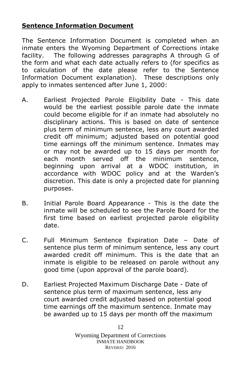### <span id="page-11-0"></span>**Sentence Information Document**

The Sentence Information Document is completed when an inmate enters the Wyoming Department of Corrections intake facility. The following addresses paragraphs A through G of the form and what each date actually refers to (for specifics as to calculation of the date please refer to the Sentence Information Document explanation). These descriptions only apply to inmates sentenced after June 1, 2000:

- A. Earliest Projected Parole Eligibility Date This date would be the earliest possible parole date the inmate could become eligible for if an inmate had absolutely no disciplinary actions. This is based on date of sentence plus term of minimum sentence, less any court awarded credit off minimum; adjusted based on potential good time earnings off the minimum sentence. Inmates may or may not be awarded up to 15 days per month for each month served off the minimum sentence, beginning upon arrival at a WDOC institution, accordance with WDOC policy and at the Warden's discretion. This date is only a projected date for planning purposes.
- B. Initial Parole Board Appearance This is the date the inmate will be scheduled to see the Parole Board for the first time based on earliest projected parole eligibility date.
- C. Full Minimum Sentence Expiration Date Date of sentence plus term of minimum sentence, less any court awarded credit off minimum. This is the date that an inmate is eligible to be released on parole without any good time (upon approval of the parole board).
- D. Earliest Projected Maximum Discharge Date Date of sentence plus term of maximum sentence, less any court awarded credit adjusted based on potential good time earnings off the maximum sentence. Inmate may be awarded up to 15 days per month off the maximum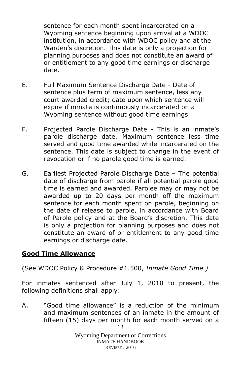sentence for each month spent incarcerated on a Wyoming sentence beginning upon arrival at a WDOC institution, in accordance with WDOC policy and at the Warden's discretion. This date is only a projection for planning purposes and does not constitute an award of or entitlement to any good time earnings or discharge date.

- E. Full Maximum Sentence Discharge Date Date of sentence plus term of maximum sentence, less any court awarded credit; date upon which sentence will expire if inmate is continuously incarcerated on a Wyoming sentence without good time earnings.
- F. Projected Parole Discharge Date This is an inmate's parole discharge date. Maximum sentence less time served and good time awarded while incarcerated on the sentence. This date is subject to change in the event of revocation or if no parole good time is earned.
- G. Earliest Projected Parole Discharge Date The potential date of discharge from parole if all potential parole good time is earned and awarded. Parolee may or may not be awarded up to 20 days per month off the maximum sentence for each month spent on parole, beginning on the date of release to parole, in accordance with Board of Parole policy and at the Board's discretion. This date is only a projection for planning purposes and does not constitute an award of or entitlement to any good time earnings or discharge date.

#### <span id="page-12-0"></span>**Good Time Allowance**

(See WDOC Policy & Procedure #1.500, *Inmate Good Time.)*

For inmates sentenced after July 1, 2010 to present, the following definitions shall apply:

13 A. "Good time allowance" is a reduction of the minimum and maximum sentences of an inmate in the amount of fifteen (15) days per month for each month served on a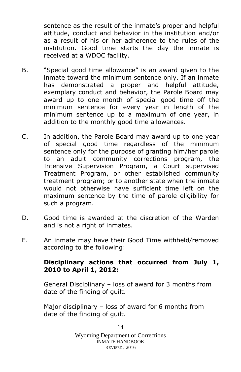sentence as the result of the inmate's proper and helpful attitude, conduct and behavior in the institution and/or as a result of his or her adherence to the rules of the institution. Good time starts the day the inmate is received at a WDOC facility.

- B. "Special good time allowance" is an award given to the inmate toward the minimum sentence only. If an inmate has demonstrated a proper and helpful attitude, exemplary conduct and behavior, the Parole Board may award up to one month of special good time off the minimum sentence for every year in length of the minimum sentence up to a maximum of one year, in addition to the monthly good time allowances.
- C. In addition, the Parole Board may award up to one year of special good time regardless of the minimum sentence only for the purpose of granting him/her parole to an adult community corrections program, the Intensive Supervision Program, a Court supervised Treatment Program, or other established community treatment program; or to another state when the inmate would not otherwise have sufficient time left on the maximum sentence by the time of parole eligibility for such a program.
- D. Good time is awarded at the discretion of the Warden and is not a right of inmates.
- E. An inmate may have their Good Time withheld/removed according to the following:

#### **Disciplinary actions that occurred from July 1, 2010 to April 1, 2012:**

General Disciplinary – loss of award for 3 months from date of the finding of guilt.

Major disciplinary – loss of award for 6 months from date of the finding of guilt.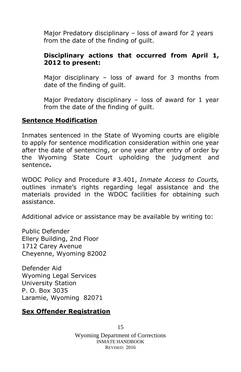Major Predatory disciplinary – loss of award for 2 years from the date of the finding of guilt.

### **Disciplinary actions that occurred from April 1, 2012 to present:**

Major disciplinary – loss of award for 3 months from date of the finding of guilt.

Major Predatory disciplinary – loss of award for 1 year from the date of the finding of guilt.

#### <span id="page-14-0"></span>**Sentence Modification**

Inmates sentenced in the State of Wyoming courts are eligible to apply for sentence modification consideration within one year after the date of sentencing, or one year after entry of order by the Wyoming State Court upholding the judgment and sentence**.** 

WDOC Policy and Procedure #3.401, *Inmate Access to Courts,* outlines inmate's rights regarding legal assistance and the materials provided in the WDOC facilities for obtaining such assistance.

Additional advice or assistance may be available by writing to:

Public Defender Ellery Building, 2nd Floor 1712 Carey Avenue Cheyenne, Wyoming 82002

Defender Aid Wyoming Legal Services University Station P. O. Box 3035 Laramie, Wyoming 82071

#### <span id="page-14-1"></span>**Sex Offender Registration**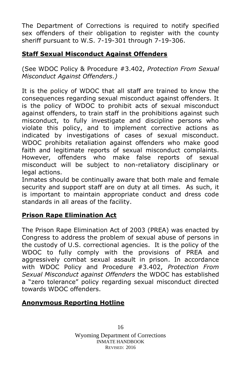The Department of Corrections is required to notify specified sex offenders of their obligation to register with the county sheriff pursuant to W.S. 7-19-301 through 7-19-306.

# <span id="page-15-0"></span>**Staff Sexual Misconduct Against Offenders**

(See WDOC Policy & Procedure #3.402, *Protection From Sexual Misconduct Against Offenders.)*

It is the policy of WDOC that all staff are trained to know the consequences regarding sexual misconduct against offenders. It is the policy of WDOC to prohibit acts of sexual misconduct against offenders, to train staff in the prohibitions against such misconduct, to fully investigate and discipline persons who violate this policy, and to implement corrective actions as indicated by investigations of cases of sexual misconduct. WDOC prohibits retaliation against offenders who make good faith and legitimate reports of sexual misconduct complaints. However, offenders who make false reports of sexual misconduct will be subject to non-retaliatory disciplinary or legal actions.

Inmates should be continually aware that both male and female security and support staff are on duty at all times. As such, it is important to maintain appropriate conduct and dress code standards in all areas of the facility.

# <span id="page-15-1"></span>**Prison Rape Elimination Act**

The Prison Rape Elimination Act of 2003 (PREA) was enacted by Congress to address the problem of sexual abuse of persons in the custody of U.S. correctional agencies. It is the policy of the WDOC to fully comply with the provisions of PREA and aggressively combat sexual assault in prison. In accordance with WDOC Policy and Procedure #3.402, *Protection From Sexual Misconduct against Offenders* the WDOC has established a "zero tolerance" policy regarding sexual misconduct directed towards WDOC offenders.

#### <span id="page-15-2"></span>**Anonymous Reporting Hotline**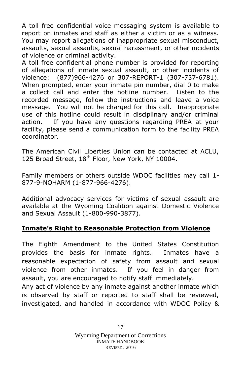A toll free confidential voice messaging system is available to report on inmates and staff as either a victim or as a witness. You may report allegations of inappropriate sexual misconduct, assaults, sexual assaults, sexual harassment, or other incidents of violence or criminal activity.

A toll free confidential phone number is provided for reporting of allegations of inmate sexual assault, or other incidents of violence: (877)966-4276 or 307-REPORT-1 (307-737-6781). When prompted, enter your inmate pin number, dial 0 to make a collect call and enter the hotline number. Listen to the recorded message, follow the instructions and leave a voice message. You will not be charged for this call. Inappropriate use of this hotline could result in disciplinary and/or criminal action. If you have any questions regarding PREA at your facility, please send a communication form to the facility PREA coordinator.

The American Civil Liberties Union can be contacted at ACLU, 125 Broad Street, 18<sup>th</sup> Floor, New York, NY 10004.

Family members or others outside WDOC facilities may call 1- 877-9-NOHARM (1-877-966-4276).

Additional advocacy services for victims of sexual assault are available at the Wyoming Coalition against Domestic Violence and Sexual Assault (1-800-990-3877).

# <span id="page-16-0"></span>**Inmate's Right to Reasonable Protection from Violence**

The Eighth Amendment to the United States Constitution provides the basis for inmate rights. Inmates have a reasonable expectation of safety from assault and sexual violence from other inmates. If you feel in danger from assault, you are encouraged to notify staff immediately.

Any act of violence by any inmate against another inmate which is observed by staff or reported to staff shall be reviewed, investigated, and handled in accordance with WDOC Policy &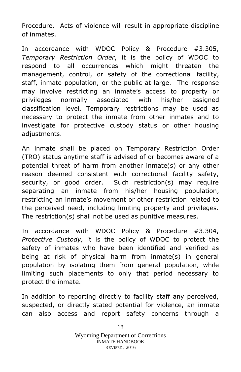Procedure. Acts of violence will result in appropriate discipline of inmates.

In accordance with WDOC Policy & Procedure #3.305, *Temporary Restriction Order*, it is the policy of WDOC to respond to all occurrences which might threaten the management, control, or safety of the correctional facility, staff, inmate population, or the public at large. The response may involve restricting an inmate's access to property or privileges normally associated with his/her assigned classification level. Temporary restrictions may be used as necessary to protect the inmate from other inmates and to investigate for protective custody status or other housing adjustments.

An inmate shall be placed on Temporary Restriction Order (TRO) status anytime staff is advised of or becomes aware of a potential threat of harm from another inmate(s) or any other reason deemed consistent with correctional facility safety, security, or good order. Such restriction(s) may require separating an inmate from his/her housing population, restricting an inmate's movement or other restriction related to the perceived need, including limiting property and privileges. The restriction(s) shall not be used as punitive measures.

In accordance with WDOC Policy & Procedure #3.304, *Protective Custody,* it is the policy of WDOC to protect the safety of inmates who have been identified and verified as being at risk of physical harm from inmate(s) in general population by isolating them from general population, while limiting such placements to only that period necessary to protect the inmate.

In addition to reporting directly to facility staff any perceived, suspected, or directly stated potential for violence, an inmate can also access and report safety concerns through a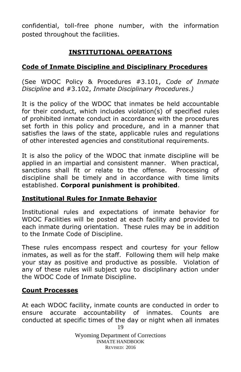confidential, toll-free phone number, with the information posted throughout the facilities.

# **INSTITUTIONAL OPERATIONS**

#### <span id="page-18-1"></span><span id="page-18-0"></span>**Code of Inmate Discipline and Disciplinary Procedures**

(See WDOC Policy & Procedures #3.101, *Code of Inmate Discipline* and #3.102, *Inmate Disciplinary Procedures.)*

It is the policy of the WDOC that inmates be held accountable for their conduct, which includes violation(s) of specified rules of prohibited inmate conduct in accordance with the procedures set forth in this policy and procedure, and in a manner that satisfies the laws of the state, applicable rules and regulations of other interested agencies and constitutional requirements.

It is also the policy of the WDOC that inmate discipline will be applied in an impartial and consistent manner. When practical, sanctions shall fit or relate to the offense. Processing of discipline shall be timely and in accordance with time limits established. **Corporal punishment is prohibited**.

#### <span id="page-18-2"></span>**Institutional Rules for Inmate Behavior**

Institutional rules and expectations of inmate behavior for WDOC Facilities will be posted at each facility and provided to each inmate during orientation. These rules may be in addition to the Inmate Code of Discipline.

These rules encompass respect and courtesy for your fellow inmates, as well as for the staff. Following them will help make your stay as positive and productive as possible. Violation of any of these rules will subject you to disciplinary action under the WDOC Code of Inmate Discipline.

#### <span id="page-18-3"></span>**Count Processes**

19 At each WDOC facility, inmate counts are conducted in order to ensure accurate accountability of inmates. Counts are conducted at specific times of the day or night when all inmates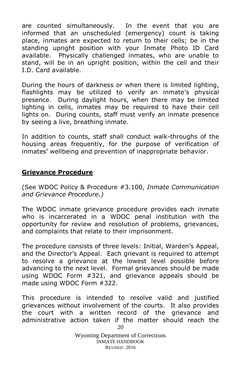are counted simultaneously. In the event that you are informed that an unscheduled (emergency) count is taking place, inmates are expected to return to their cells; be in the standing upright position with your Inmate Photo ID Card available. Physically challenged inmates, who are unable to stand, will be in an upright position, within the cell and their I.D. Card available.

During the hours of darkness or when there is limited lighting, flashlights may be utilized to verify an inmate's physical presence. During daylight hours, when there may be limited lighting in cells, inmates may be required to have their cell lights on. During counts, staff must verify an inmate presence by seeing a live, breathing inmate.

In addition to counts, staff shall conduct walk-throughs of the housing areas frequently, for the purpose of verification of inmates' wellbeing and prevention of inappropriate behavior.

#### <span id="page-19-0"></span>**Grievance Procedure**

(See WDOC Policy & Procedure #3.100, *Inmate Communication and Grievance Procedure.)*

The WDOC inmate grievance procedure provides each inmate who is incarcerated in a WDOC penal institution with the opportunity for review and resolution of problems, grievances, and complaints that relate to their imprisonment.

The procedure consists of three levels: Initial, Warden's Appeal, and the Director's Appeal. Each grievant is required to attempt to resolve a grievance at the lowest level possible before advancing to the next level. Formal grievances should be made using WDOC Form #321, and grievance appeals should be made using WDOC Form #322.

20 This procedure is intended to resolve valid and justified grievances without involvement of the courts. It also provides the court with a written record of the grievance and administrative action taken if the matter should reach the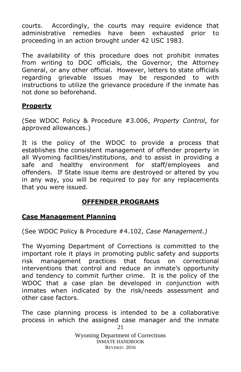courts. Accordingly, the courts may require evidence that administrative remedies have been exhausted prior to proceeding in an action brought under 42 USC 1983.

The availability of this procedure does not prohibit inmates from writing to DOC officials, the Governor, the Attorney General, or any other official. However, letters to state officials regarding grievable issues may be responded to with instructions to utilize the grievance procedure if the inmate has not done so beforehand.

#### <span id="page-20-0"></span>**Property**

(See WDOC Policy & Procedure #3.006, *Property Control*, for approved allowances.)

It is the policy of the WDOC to provide a process that establishes the consistent management of offender property in all Wyoming facilities/institutions, and to assist in providing a safe and healthy environment for staff/employees and offenders. If State issue items are destroyed or altered by you in any way, you will be required to pay for any replacements that you were issued.

# **OFFENDER PROGRAMS**

#### <span id="page-20-2"></span><span id="page-20-1"></span>**Case Management Planning**

(See WDOC Policy & Procedure #4.102, *Case Management.)*

The Wyoming Department of Corrections is committed to the important role it plays in promoting public safety and supports risk management practices that focus on correctional interventions that control and reduce an inmate's opportunity and tendency to commit further crime. It is the policy of the WDOC that a case plan be developed in conjunction with inmates when indicated by the risk/needs assessment and other case factors.

21 The case planning process is intended to be a collaborative process in which the assigned case manager and the inmate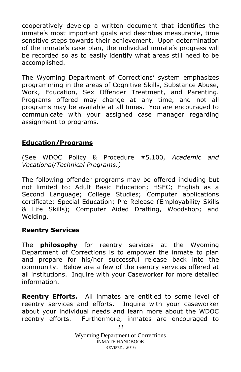cooperatively develop a written document that identifies the inmate's most important goals and describes measurable, time sensitive steps towards their achievement. Upon determination of the inmate's case plan, the individual inmate's progress will be recorded so as to easily identify what areas still need to be accomplished.

The Wyoming Department of Corrections' system emphasizes programming in the areas of Cognitive Skills, Substance Abuse, Work, Education, Sex Offender Treatment, and Parenting. Programs offered may change at any time, and not all programs may be available at all times. You are encouraged to communicate with your assigned case manager regarding assignment to programs.

#### <span id="page-21-0"></span>**Education/Programs**

(See WDOC Policy & Procedure #5.100, *Academic and Vocational/Technical Programs.)*

The following offender programs may be offered including but not limited to: Adult Basic Education; HSEC; English as a Second Language; College Studies; Computer applications certificate; Special Education; Pre-Release (Employability Skills & Life Skills); Computer Aided Drafting, Woodshop; and Welding.

#### <span id="page-21-1"></span>**Reentry Services**

The **philosophy** for reentry services at the Wyoming Department of Corrections is to empower the inmate to plan and prepare for his/her successful release back into the community. Below are a few of the reentry services offered at all institutions. Inquire with your Caseworker for more detailed information.

**Reentry Efforts.** All inmates are entitled to some level of reentry services and efforts. Inquire with your caseworker about your individual needs and learn more about the WDOC reentry efforts. Furthermore, inmates are encouraged to

> Wyoming Department of Corrections INMATE HANDBOOK REVISED: 2016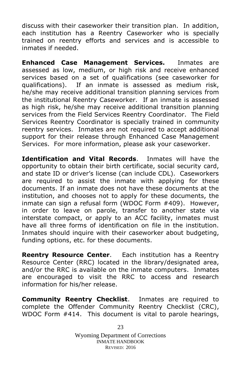discuss with their caseworker their transition plan. In addition, each institution has a Reentry Caseworker who is specially trained on reentry efforts and services and is accessible to inmates if needed.

**Enhanced Case Management Services.** Inmates are assessed as low, medium, or high risk and receive enhanced services based on a set of qualifications (see caseworker for qualifications). If an inmate is assessed as medium risk, he/she may receive additional transition planning services from the institutional Reentry Caseworker. If an inmate is assessed as high risk, he/she may receive additional transition planning services from the Field Services Reentry Coordinator. The Field Services Reentry Coordinator is specially trained in community reentry services. Inmates are not required to accept additional support for their release through Enhanced Case Management Services. For more information, please ask your caseworker.

**Identification and Vital Records**. Inmates will have the opportunity to obtain their birth certificate, social security card, and state ID or driver's license (can include CDL). Caseworkers are required to assist the inmate with applying for these documents. If an inmate does not have these documents at the institution, and chooses not to apply for these documents, the inmate can sign a refusal form (WDOC Form #409). However, in order to leave on parole, transfer to another state via interstate compact, or apply to an ACC facility, inmates must have all three forms of identification on file in the institution. Inmates should inquire with their caseworker about budgeting, funding options, etc. for these documents.

**Reentry Resource Center**. Each institution has a Reentry Resource Center (RRC) located in the library/designated area, and/or the RRC is available on the inmate computers. Inmates are encouraged to visit the RRC to access and research information for his/her release.

**Community Reentry Checklist**. Inmates are required to complete the Offender Community Reentry Checklist (CRC), WDOC Form #414. This document is vital to parole hearings,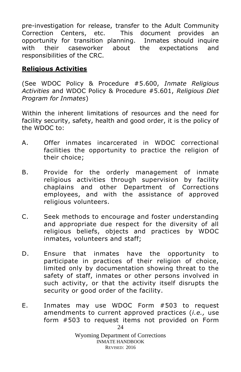pre-investigation for release, transfer to the Adult Community Correction Centers, etc. This document provides an opportunity for transition planning. Inmates should inquire with their caseworker about the expectations and responsibilities of the CRC.

### <span id="page-23-0"></span>**Religious Activities**

(See WDOC Policy & Procedure #5.600, *Inmate Religious Activities* and WDOC Policy & Procedure #5.601, *Religious Diet Program for Inmates*)

Within the inherent limitations of resources and the need for facility security, safety, health and good order, it is the policy of the WDOC to:

- A. Offer inmates incarcerated in WDOC correctional facilities the opportunity to practice the religion of their choice;
- B. Provide for the orderly management of inmate religious activities through supervision by facility chaplains and other Department of Corrections employees, and with the assistance of approved religious volunteers.
- C. Seek methods to encourage and foster understanding and appropriate due respect for the diversity of all religious beliefs, objects and practices by WDOC inmates, volunteers and staff;
- D. Ensure that inmates have the opportunity to participate in practices of their religion of choice, limited only by documentation showing threat to the safety of staff, inmates or other persons involved in such activity, or that the activity itself disrupts the security or good order of the facility.
- 24 E. Inmates may use WDOC Form #503 to request amendments to current approved practices (*i.e.,* use form #503 to request items not provided on Form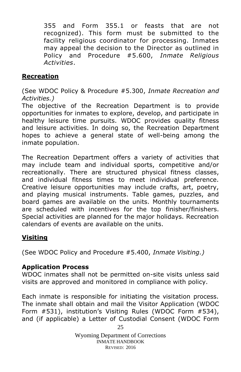355 and Form 355.1 or feasts that are not recognized). This form must be submitted to the facility religious coordinator for processing. Inmates may appeal the decision to the Director as outlined in Policy and Procedure #5.600, *Inmate Religious Activities*.

#### <span id="page-24-0"></span>**Recreation**

(See WDOC Policy & Procedure #5.300, *Inmate Recreation and Activities.)*

The objective of the Recreation Department is to provide opportunities for inmates to explore, develop, and participate in healthy leisure time pursuits. WDOC provides quality fitness and leisure activities. In doing so, the Recreation Department hopes to achieve a general state of well-being among the inmate population.

The Recreation Department offers a variety of activities that may include team and individual sports, competitive and/or recreationally. There are structured physical fitness classes, and individual fitness times to meet individual preference. Creative leisure opportunities may include crafts, art, poetry, and playing musical instruments. Table games, puzzles, and board games are available on the units. Monthly tournaments are scheduled with incentives for the top finisher/finishers. Special activities are planned for the major holidays. Recreation calendars of events are available on the units.

#### <span id="page-24-1"></span>**Visiting**

(See WDOC Policy and Procedure #5.400, *Inmate Visiting.)*

#### **Application Process**

WDOC inmates shall not be permitted on-site visits unless said visits are approved and monitored in compliance with policy.

Each inmate is responsible for initiating the visitation process. The inmate shall obtain and mail the Visitor Application (WDOC Form #531), institution's Visiting Rules (WDOC Form #534), and (if applicable) a Letter of Custodial Consent (WDOC Form

> Wyoming Department of Corrections INMATE HANDBOOK REVISED: 2016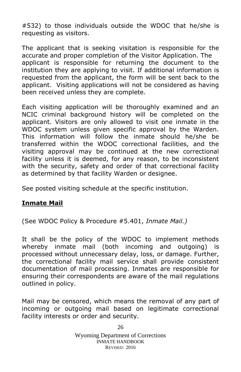#532) to those individuals outside the WDOC that he/she is requesting as visitors.

The applicant that is seeking visitation is responsible for the accurate and proper completion of the Visitor Application. The applicant is responsible for returning the document to the institution they are applying to visit. If additional information is requested from the applicant, the form will be sent back to the applicant. Visiting applications will not be considered as having been received unless they are complete.

Each visiting application will be thoroughly examined and an NCIC criminal background history will be completed on the applicant. Visitors are only allowed to visit one inmate in the WDOC system unless given specific approval by the Warden. This information will follow the inmate should he/she be transferred within the WDOC correctional facilities, and the visiting approval may be continued at the new correctional facility unless it is deemed, for any reason, to be inconsistent with the security, safety and order of that correctional facility as determined by that facility Warden or designee.

See posted visiting schedule at the specific institution.

# **Inmate Mail**

(See WDOC Policy & Procedure #5.401, *Inmate Mail.)*

It shall be the policy of the WDOC to implement methods whereby inmate mail (both incoming and outgoing) is processed without unnecessary delay, loss, or damage. Further, the correctional facility mail service shall provide consistent documentation of mail processing. Inmates are responsible for ensuring their correspondents are aware of the mail regulations outlined in policy.

Mail may be censored, which means the removal of any part of incoming or outgoing mail based on legitimate correctional facility interests or order and security.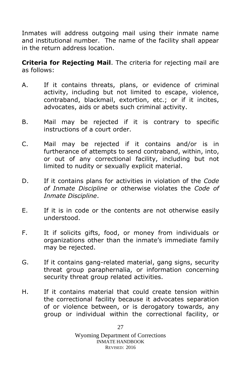Inmates will address outgoing mail using their inmate name and institutional number. The name of the facility shall appear in the return address location.

**Criteria for Rejecting Mail**. The criteria for rejecting mail are as follows:

- A. If it contains threats, plans, or evidence of criminal activity, including but not limited to escape, violence, contraband, blackmail, extortion, etc.; or if it incites, advocates, aids or abets such criminal activity.
- B. Mail may be rejected if it is contrary to specific instructions of a court order.
- C. Mail may be rejected if it contains and/or is in furtherance of attempts to send contraband, within, into, or out of any correctional facility, including but not limited to nudity or sexually explicit material.
- D. If it contains plans for activities in violation of the *Code of Inmate Discipline* or otherwise violates the *Code of Inmate Discipline*.
- E. If it is in code or the contents are not otherwise easily understood.
- F. It if solicits gifts, food, or money from individuals or organizations other than the inmate's immediate family may be rejected.
- G. If it contains gang-related material, gang signs, security threat group paraphernalia, or information concerning security threat group related activities.
- H. If it contains material that could create tension within the correctional facility because it advocates separation of or violence between, or is derogatory towards, any group or individual within the correctional facility, or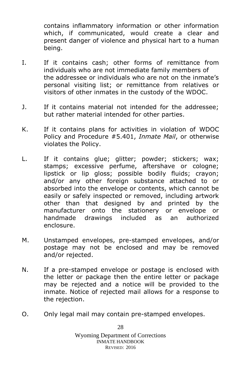contains inflammatory information or other information which, if communicated, would create a clear and present danger of violence and physical hart to a human being.

- I. If it contains cash; other forms of remittance from individuals who are not immediate family members of the addressee or individuals who are not on the inmate's personal visiting list; or remittance from relatives or visitors of other inmates in the custody of the WDOC.
- J. If it contains material not intended for the addressee; but rather material intended for other parties.
- K. If it contains plans for activities in violation of WDOC Policy and Procedure #5.401, *Inmate Mail*, or otherwise violates the Policy.
- L. If it contains glue; glitter; powder; stickers; wax; stamps; excessive perfume, aftershave or cologne; lipstick or lip gloss; possible bodily fluids; crayon; and/or any other foreign substance attached to or absorbed into the envelope or contents, which cannot be easily or safely inspected or removed, including artwork other than that designed by and printed by the manufacturer onto the stationery or envelope or handmade drawings included as an authorized enclosure.
- M. Unstamped envelopes, pre-stamped envelopes, and/or postage may not be enclosed and may be removed and/or rejected.
- N. If a pre-stamped envelope or postage is enclosed with the letter or package then the entire letter or package may be rejected and a notice will be provided to the inmate. Notice of rejected mail allows for a response to the rejection.
- O. Only legal mail may contain pre-stamped envelopes.

Wyoming Department of Corrections INMATE HANDBOOK REVISED: 2016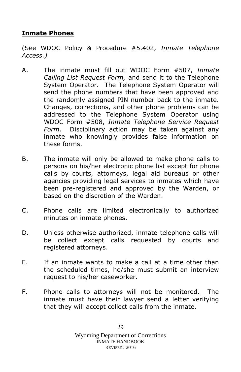#### <span id="page-28-0"></span>**Inmate Phones**

(See WDOC Policy & Procedure #5.402, *Inmate Telephone Access.)*

- A. The inmate must fill out WDOC Form #507, *Inmate Calling List Request Form,* and send it to the Telephone System Operator. The Telephone System Operator will send the phone numbers that have been approved and the randomly assigned PIN number back to the inmate. Changes, corrections, and other phone problems can be addressed to the Telephone System Operator using WDOC Form #508, *Inmate Telephone Service Request Form*. Disciplinary action may be taken against any inmate who knowingly provides false information on these forms.
- B. The inmate will only be allowed to make phone calls to persons on his/her electronic phone list except for phone calls by courts, attorneys, legal aid bureaus or other agencies providing legal services to inmates which have been pre-registered and approved by the Warden, or based on the discretion of the Warden.
- C. Phone calls are limited electronically to authorized minutes on inmate phones.
- D. Unless otherwise authorized, inmate telephone calls will be collect except calls requested by courts and registered attorneys.
- E. If an inmate wants to make a call at a time other than the scheduled times, he/she must submit an interview request to his/her caseworker.
- F. Phone calls to attorneys will not be monitored. The inmate must have their lawyer send a letter verifying that they will accept collect calls from the inmate.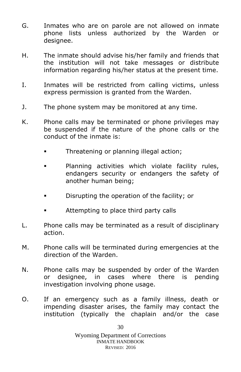- G. Inmates who are on parole are not allowed on inmate phone lists unless authorized by the Warden or designee.
- H. The inmate should advise his/her family and friends that the institution will not take messages or distribute information regarding his/her status at the present time.
- I. Inmates will be restricted from calling victims, unless express permission is granted from the Warden.
- J. The phone system may be monitored at any time.
- K. Phone calls may be terminated or phone privileges may be suspended if the nature of the phone calls or the conduct of the inmate is:
	- **Threatening or planning illegal action;**
	- **Planning activities which violate facility rules,** endangers security or endangers the safety of another human being;
	- **Disable 1** Disrupting the operation of the facility; or
	- **EXECUTE:** Attempting to place third party calls
- L. Phone calls may be terminated as a result of disciplinary action.
- M. Phone calls will be terminated during emergencies at the direction of the Warden.
- N. Phone calls may be suspended by order of the Warden or designee, in cases where there is pending investigation involving phone usage.
- O. If an emergency such as a family illness, death or impending disaster arises, the family may contact the institution (typically the chaplain and/or the case

30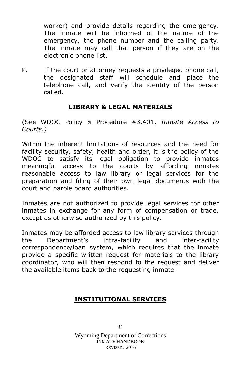worker) and provide details regarding the emergency. The inmate will be informed of the nature of the emergency, the phone number and the calling party. The inmate may call that person if they are on the electronic phone list.

P. If the court or attorney requests a privileged phone call, the designated staff will schedule and place the telephone call, and verify the identity of the person called.

# **LIBRARY & LEGAL MATERIALS**

<span id="page-30-0"></span>(See WDOC Policy & Procedure #3.401, *Inmate Access to Courts.)*

Within the inherent limitations of resources and the need for facility security, safety, health and order, it is the policy of the WDOC to satisfy its legal obligation to provide inmates meaningful access to the courts by affording inmates reasonable access to law library or legal services for the preparation and filing of their own legal documents with the court and parole board authorities.

Inmates are not authorized to provide legal services for other inmates in exchange for any form of compensation or trade, except as otherwise authorized by this policy.

Inmates may be afforded access to law library services through the Department's intra-facility and inter-facility correspondence/loan system, which requires that the inmate provide a specific written request for materials to the library coordinator, who will then respond to the request and deliver the available items back to the requesting inmate.

# <span id="page-30-1"></span>**INSTITUTIONAL SERVICES**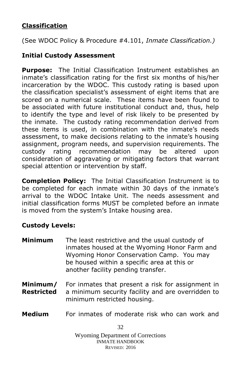# <span id="page-31-0"></span>**Classification**

(See WDOC Policy & Procedure #4.101, *Inmate Classification.)*

#### **Initial Custody Assessment**

**Purpose:** The Initial Classification Instrument establishes an inmate's classification rating for the first six months of his/her incarceration by the WDOC. This custody rating is based upon the classification specialist's assessment of eight items that are scored on a numerical scale. These items have been found to be associated with future institutional conduct and, thus, help to identify the type and level of risk likely to be presented by the inmate. The custody rating recommendation derived from these items is used, in combination with the inmate's needs assessment, to make decisions relating to the inmate's housing assignment, program needs, and supervision requirements. The custody rating recommendation may be altered upon consideration of aggravating or mitigating factors that warrant special attention or intervention by staff.

**Completion Policy:** The Initial Classification Instrument is to be completed for each inmate within 30 days of the inmate's arrival to the WDOC Intake Unit. The needs assessment and initial classification forms MUST be completed before an inmate is moved from the system's Intake housing area.

#### **Custody Levels:**

- **Minimum** The least restrictive and the usual custody of inmates housed at the Wyoming Honor Farm and Wyoming Honor Conservation Camp. You may be housed within a specific area at this or another facility pending transfer.
- **Minimum/** For inmates that present a risk for assignment in **Restricted** a minimum security facility and are overridden to minimum restricted housing.
- **Medium** For inmates of moderate risk who can work and

32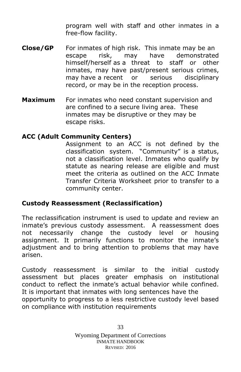program well with staff and other inmates in a free-flow facility.

- **Close/GP** For inmates of high risk. This inmate may be an escape risk, may have demonstrated himself/herself as a threat to staff or other inmates, may have past/present serious crimes, may have a recent or serious disciplinary record, or may be in the reception process.
- **Maximum** For inmates who need constant supervision and are confined to a secure living area. These inmates may be disruptive or they may be escape risks.

#### **ACC (Adult Community Centers)**

Assignment to an ACC is not defined by the classification system. "Community" is a status, not a classification level. Inmates who qualify by statute as nearing release are eligible and must meet the criteria as outlined on the ACC Inmate Transfer Criteria Worksheet prior to transfer to a community center.

#### **Custody Reassessment (Reclassification)**

The reclassification instrument is used to update and review an inmate's previous custody assessment. A reassessment does not necessarily change the custody level or housing assignment. It primarily functions to monitor the inmate's adjustment and to bring attention to problems that may have arisen.

Custody reassessment is similar to the initial custody assessment but places greater emphasis on institutional conduct to reflect the inmate's actual behavior while confined. It is important that inmates with long sentences have the opportunity to progress to a less restrictive custody level based on compliance with institution requirements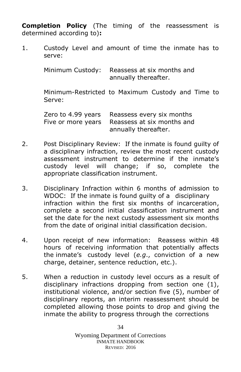**Completion Policy** (The timing of the reassessment is determined according to)**:**

1. Custody Level and amount of time the inmate has to serve:

> Minimum Custody: Reassess at six months and annually thereafter.

Minimum-Restricted to Maximum Custody and Time to Serve:

Zero to 4.99 years Reassess every six months Five or more years Reassess at six months and annually thereafter.

- 2. Post Disciplinary Review: If the inmate is found guilty of a disciplinary infraction, review the most recent custody assessment instrument to determine if the inmate's custody level will change; if so, complete the appropriate classification instrument.
- 3. Disciplinary Infraction within 6 months of admission to WDOC: If the inmate is found guilty of a disciplinary infraction within the first six months of incarceration, complete a second initial classification instrument and set the date for the next custody assessment six months from the date of original initial classification decision.
- 4. Upon receipt of new information: Reassess within 48 hours of receiving information that potentially affects the inmate's custody level (*e.g*., conviction of a new charge, detainer, sentence reduction, etc.).
- 5. When a reduction in custody level occurs as a result of disciplinary infractions dropping from section one (1), institutional violence, and/or section five (5), number of disciplinary reports, an interim reassessment should be completed allowing those points to drop and giving the inmate the ability to progress through the corrections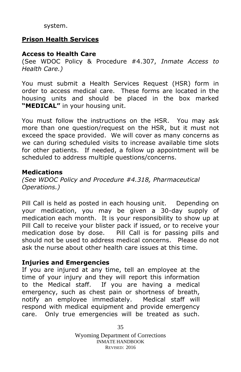system.

# <span id="page-34-0"></span>**Prison Health Services**

# **Access to Health Care**

(See WDOC Policy & Procedure #4.307, *Inmate Access to Health Care.)*

You must submit a Health Services Request (HSR) form in order to access medical care. These forms are located in the housing units and should be placed in the box marked **"MEDICAL"** in your housing unit.

You must follow the instructions on the HSR. You may ask more than one question/request on the HSR, but it must not exceed the space provided. We will cover as many concerns as we can during scheduled visits to increase available time slots for other patients. If needed, a follow up appointment will be scheduled to address multiple questions/concerns.

#### **Medications**

*(See WDOC Policy and Procedure #4.318, Pharmaceutical Operations.)*

Pill Call is held as posted in each housing unit. Depending on your medication, you may be given a 30-day supply of medication each month. It is your responsibility to show up at Pill Call to receive your blister pack if issued, or to receive your medication dose by dose. Pill Call is for passing pills and should not be used to address medical concerns. Please do not ask the nurse about other health care issues at this time.

#### **Injuries and Emergencies**

If you are injured at any time, tell an employee at the time of your injury and they will report this information to the Medical staff. If you are having a medical emergency, such as chest pain or shortness of breath, notify an employee immediately. Medical staff will respond with medical equipment and provide emergency care. Only true emergencies will be treated as such.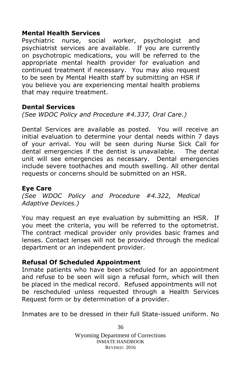#### **Mental Health Services**

Psychiatric nurse, social worker, psychologist and psychiatrist services are available. If you are currently on psychotropic medications, you will be referred to the appropriate mental health provider for evaluation and continued treatment if necessary. You may also request to be seen by Mental Health staff by submitting an HSR if you believe you are experiencing mental health problems that may require treatment.

#### **Dental Services**

*(See WDOC Policy and Procedure #4.337, Oral Care.)*

Dental Services are available as posted. You will receive an initial evaluation to determine your dental needs within 7 days of your arrival. You will be seen during Nurse Sick Call for dental emergencies if the dentist is unavailable. The dental unit will see emergencies as necessary. Dental emergencies include severe toothaches and mouth swelling. All other dental requests or concerns should be submitted on an HSR.

#### **Eye Care**

*(See WDOC Policy and Procedure #4.322, Medical Adaptive Devices.)*

You may request an eye evaluation by submitting an HSR. If you meet the criteria, you will be referred to the optometrist. The contract medical provider only provides basic frames and lenses. Contact lenses will not be provided through the medical department or an independent provider.

#### **Refusal Of Scheduled Appointment**

Inmate patients who have been scheduled for an appointment and refuse to be seen will sign a refusal form, which will then be placed in the medical record. Refused appointments will not be rescheduled unless requested through a Health Services Request form or by determination of a provider.

Inmates are to be dressed in their full State-issued uniform. No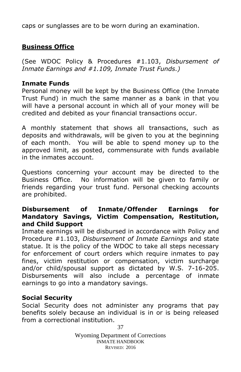caps or sunglasses are to be worn during an examination.

# <span id="page-36-0"></span>**Business Office**

(See WDOC Policy & Procedures #1.103, *Disbursement of Inmate Earnings and #1.109, Inmate Trust Funds.)*

#### **Inmate Funds**

Personal money will be kept by the Business Office (the Inmate Trust Fund) in much the same manner as a bank in that you will have a personal account in which all of your money will be credited and debited as your financial transactions occur.

A monthly statement that shows all transactions, such as deposits and withdrawals, will be given to you at the beginning of each month. You will be able to spend money up to the approved limit, as posted, commensurate with funds available in the inmates account.

Questions concerning your account may be directed to the Business Office. No information will be given to family or friends regarding your trust fund. Personal checking accounts are prohibited.

#### **Disbursement of Inmate/Offender Earnings for Mandatory Savings, Victim Compensation, Restitution, and Child Support**

Inmate earnings will be disbursed in accordance with Policy and Procedure #1.103, *Disbursement of Inmate Earnings* and state statue. It is the policy of the WDOC to take all steps necessary for enforcement of court orders which require inmates to pay fines, victim restitution or compensation, victim surcharge and/or child/spousal support as dictated by W.S. 7-16-205. Disbursements will also include a percentage of inmate earnings to go into a mandatory savings.

#### **Social Security**

Social Security does not administer any programs that pay benefits solely because an individual is in or is being released from a correctional institution.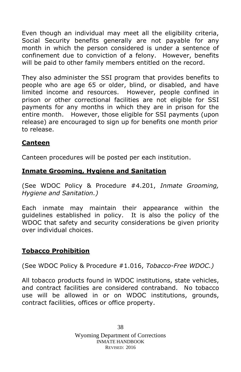Even though an individual may meet all the eligibility criteria, Social Security benefits generally are not payable for any month in which the person considered is under a sentence of confinement due to conviction of a felony. However, benefits will be paid to other family members entitled on the record.

They also administer the SSI program that provides benefits to people who are age 65 or older, blind, or disabled, and have limited income and resources. However, people confined in prison or other correctional facilities are not eligible for SSI payments for any months in which they are in prison for the entire month. However, those eligible for SSI payments (upon release) are encouraged to sign up for benefits one month prior to release.

# <span id="page-37-0"></span>**Canteen**

Canteen procedures will be posted per each institution.

#### <span id="page-37-1"></span>**Inmate Grooming, Hygiene and Sanitation**

(See WDOC Policy & Procedure #4.201, *Inmate Grooming, Hygiene and Sanitation.)*

Each inmate may maintain their appearance within the guidelines established in policy. It is also the policy of the WDOC that safety and security considerations be given priority over individual choices.

#### <span id="page-37-2"></span>**Tobacco Prohibition**

(See WDOC Policy & Procedure #1.016, *Tobacco-Free WDOC.)*

All tobacco products found in WDOC institutions, state vehicles, and contract facilities are considered contraband. No tobacco use will be allowed in or on WDOC institutions, grounds, contract facilities, offices or office property.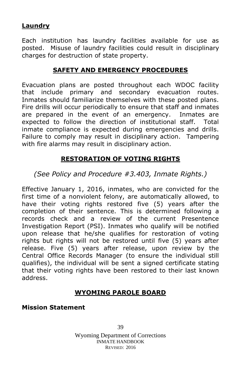### <span id="page-38-0"></span>**Laundry**

Each institution has laundry facilities available for use as posted. Misuse of laundry facilities could result in disciplinary charges for destruction of state property.

# **SAFETY AND EMERGENCY PROCEDURES**

<span id="page-38-1"></span>Evacuation plans are posted throughout each WDOC facility that include primary and secondary evacuation routes. Inmates should familiarize themselves with these posted plans. Fire drills will occur periodically to ensure that staff and inmates are prepared in the event of an emergency. Inmates are expected to follow the direction of institutional staff. Total inmate compliance is expected during emergencies and drills. Failure to comply may result in disciplinary action. Tampering with fire alarms may result in disciplinary action.

# **RESTORATION OF VOTING RIGHTS**

<span id="page-38-2"></span>*(See Policy and Procedure #3.403, Inmate Rights.)*

Effective January 1, 2016, inmates, who are convicted for the first time of a nonviolent felony, are automatically allowed, to have their voting rights restored five (5) years after the completion of their sentence. This is determined following a records check and a review of the current Presentence Investigation Report (PSI). Inmates who qualify will be notified upon release that he/she qualifies for restoration of voting rights but rights will not be restored until five (5) years after release. Five (5) years after release, upon review by the Central Office Records Manager (to ensure the individual still qualifies), the individual will be sent a signed certificate stating that their voting rights have been restored to their last known address.

# **WYOMING PAROLE BOARD**

#### <span id="page-38-3"></span>**Mission Statement**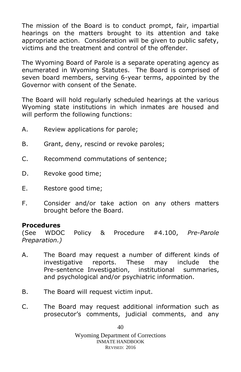The mission of the Board is to conduct prompt, fair, impartial hearings on the matters brought to its attention and take appropriate action. Consideration will be given to public safety, victims and the treatment and control of the offender.

The Wyoming Board of Parole is a separate operating agency as enumerated in Wyoming Statutes. The Board is comprised of seven board members, serving 6-year terms, appointed by the Governor with consent of the Senate.

The Board will hold regularly scheduled hearings at the various Wyoming state institutions in which inmates are housed and will perform the following functions:

- A. Review applications for parole;
- B. Grant, deny, rescind or revoke paroles;
- C. Recommend commutations of sentence;
- D. Revoke good time;
- E. Restore good time;
- F. Consider and/or take action on any others matters brought before the Board.

#### **Procedures**

(See WDOC Policy & Procedure #4.100, *Pre-Parole Preparation.)*

- A. The Board may request a number of different kinds of investigative reports. These may include the Pre-sentence Investigation, institutional summaries, and psychological and/or psychiatric information.
- B. The Board will request victim input.
- C. The Board may request additional information such as prosecutor's comments, judicial comments, and any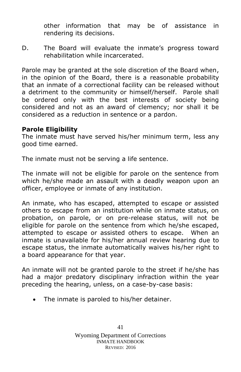other information that may be of assistance in rendering its decisions.

D. The Board will evaluate the inmate's progress toward rehabilitation while incarcerated.

Parole may be granted at the sole discretion of the Board when, in the opinion of the Board, there is a reasonable probability that an inmate of a correctional facility can be released without a detriment to the community or himself/herself. Parole shall be ordered only with the best interests of society being considered and not as an award of clemency; nor shall it be considered as a reduction in sentence or a pardon.

#### **Parole Eligibility**

The inmate must have served his/her minimum term, less any good time earned.

The inmate must not be serving a life sentence.

The inmate will not be eligible for parole on the sentence from which he/she made an assault with a deadly weapon upon an officer, employee or inmate of any institution.

An inmate, who has escaped, attempted to escape or assisted others to escape from an institution while on inmate status, on probation, on parole, or on pre-release status, will not be eligible for parole on the sentence from which he/she escaped, attempted to escape or assisted others to escape. When an inmate is unavailable for his/her annual review hearing due to escape status, the inmate automatically waives his/her right to a board appearance for that year.

An inmate will not be granted parole to the street if he/she has had a major predatory disciplinary infraction within the year preceding the hearing, unless, on a case-by-case basis:

• The inmate is paroled to his/her detainer.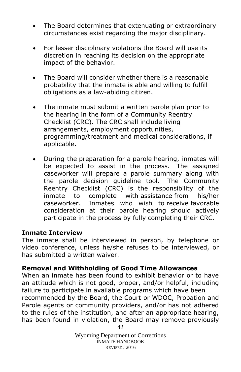- The Board determines that extenuating or extraordinary circumstances exist regarding the major disciplinary.
- For lesser disciplinary violations the Board will use its discretion in reaching its decision on the appropriate impact of the behavior.
- The Board will consider whether there is a reasonable probability that the inmate is able and willing to fulfill obligations as a law-abiding citizen.
- The inmate must submit a written parole plan prior to the hearing in the form of a Community Reentry Checklist (CRC). The CRC shall include living arrangements, employment opportunities, programming/treatment and medical considerations, if applicable.
- During the preparation for a parole hearing, inmates will be expected to assist in the process. The assigned caseworker will prepare a parole summary along with the parole decision guideline tool. The Community Reentry Checklist (CRC) is the responsibility of the inmate to complete with assistance from his/her caseworker. Inmates who wish to receive favorable consideration at their parole hearing should actively participate in the process by fully completing their CRC.

#### **Inmate Interview**

The inmate shall be interviewed in person, by telephone or video conference, unless he/she refuses to be interviewed, or has submitted a written waiver.

# **Removal and Withholding of Good Time Allowances**

42 When an inmate has been found to exhibit behavior or to have an attitude which is not good, proper, and/or helpful, including failure to participate in available programs which have been recommended by the Board, the Court or WDOC, Probation and Parole agents or community providers, and/or has not adhered to the rules of the institution, and after an appropriate hearing, has been found in violation, the Board may remove previously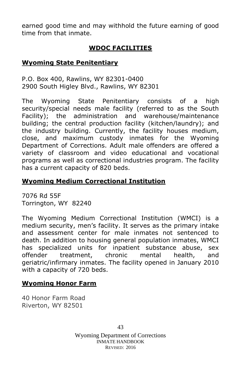earned good time and may withhold the future earning of good time from that inmate.

# **WDOC FACILITIES**

#### <span id="page-42-1"></span><span id="page-42-0"></span>**Wyoming State Penitentiary**

P.O. Box 400, Rawlins, WY 82301-0400 2900 South Higley Blvd., Rawlins, WY 82301

The Wyoming State Penitentiary consists of a high security/special needs male facility (referred to as the South Facility); the administration and warehouse/maintenance building; the central production facility (kitchen/laundry); and the industry building. Currently, the facility houses medium, close, and maximum custody inmates for the Wyoming Department of Corrections. Adult male offenders are offered a variety of classroom and video educational and vocational programs as well as correctional industries program. The facility has a current capacity of 820 beds.

#### <span id="page-42-2"></span>**Wyoming Medium Correctional Institution**

7076 Rd 55F Torrington, WY 82240

The Wyoming Medium Correctional Institution (WMCI) is a medium security, men's facility. It serves as the primary intake and assessment center for male inmates not sentenced to death. In addition to housing general population inmates, WMCI has specialized units for inpatient substance abuse, sex offender treatment, chronic mental health, and geriatric/infirmary inmates. The facility opened in January 2010 with a capacity of 720 beds.

#### <span id="page-42-3"></span>**Wyoming Honor Farm**

40 Honor Farm Road Riverton, WY 82501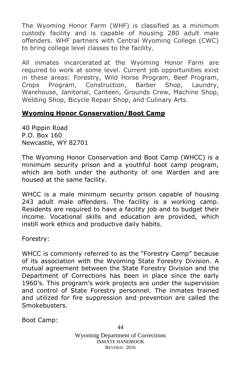The Wyoming Honor Farm (WHF) is classified as a minimum custody facility and is capable of housing 280 adult male offenders. WHF partners with Central Wyoming College (CWC) to bring college level classes to the facility.

All inmates incarcerated at the Wyoming Honor Farm are required to work at some level. Current job opportunities exist in these areas: Forestry, Wild Horse Program, Beef Program, Crops Program, Construction, Barber Shop, Laundry, Warehouse, Janitorial, Canteen, Grounds Crew, Machine Shop, Welding Shop, Bicycle Repair Shop, and Culinary Arts.

#### <span id="page-43-0"></span>**Wyoming Honor Conservation/Boot Camp**

40 Pippin Road P.O. Box 160 Newcastle, WY 82701

The Wyoming Honor Conservation and Boot Camp (WHCC) is a minimum security prison and a youthful boot camp program, which are both under the authority of one Warden and are housed at the same facility.

WHCC is a male minimum security prison capable of housing 243 adult male offenders. The facility is a working camp. Residents are required to have a facility job and to budget their income. Vocational skills and education are provided, which instill work ethics and productive daily habits.

Forestry:

WHCC is commonly referred to as the "Forestry Camp" because of its association with the Wyoming State Forestry Division. A mutual agreement between the State Forestry Division and the Department of Corrections has been in place since the early 1960's. This program's work projects are under the supervision and control of State Forestry personnel. The inmates trained and utilized for fire suppression and prevention are called the Smokebusters.

Boot Camp: